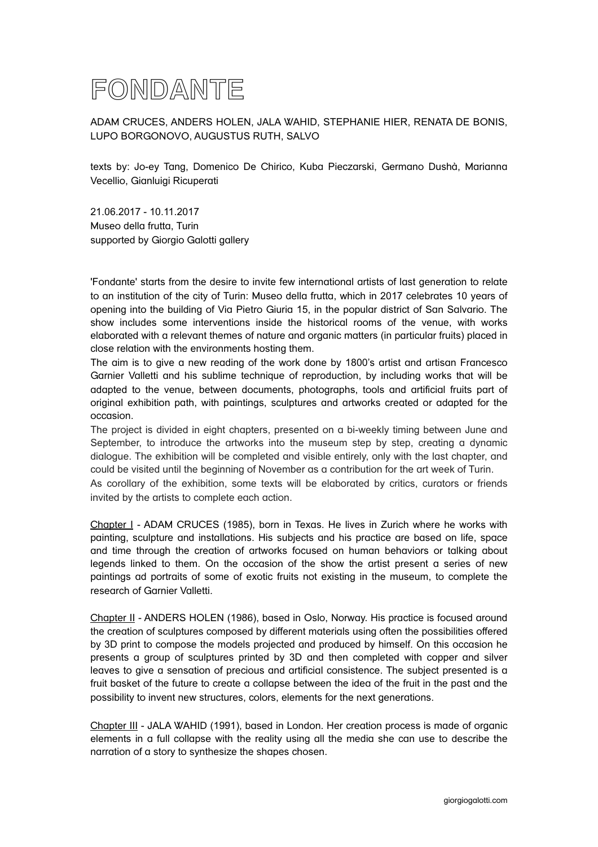

ADAM CRUCES, ANDERS HOLEN, JALA WAHID, STEPHANIE HIER, RENATA DE BONIS, LUPO BORGONOVO, AUGUSTUS RUTH, SALVO

texts by: Jo-ey Tang, Domenico De Chirico, Kuba Pieczarski, Germano Dushà, Marianna Vecellio, Gianluigi Ricuperati

21.06.2017 - 10.11.2017 Museo della frutta, Turin supported by Giorgio Galotti gallery

'Fondante' starts from the desire to invite few international artists of last generation to relate to an institution of the city of Turin: Museo della frutta, which in 2017 celebrates 10 years of opening into the building of Via Pietro Giuria 15, in the popular district of San Salvario. The show includes some interventions inside the historical rooms of the venue, with works elaborated with a relevant themes of nature and organic matters (in particular fruits) placed in close relation with the environments hosting them.

The aim is to give a new reading of the work done by 1800's artist and artisan Francesco Garnier Valletti and his sublime technique of reproduction, by including works that will be adapted to the venue, between documents, photographs, tools and artificial fruits part of original exhibition path, with paintings, sculptures and artworks created or adapted for the occasion.

The project is divided in eight chapters, presented on a bi-weekly timing between June and September, to introduce the artworks into the museum step by step, creating a dynamic dialogue. The exhibition will be completed and visible entirely, only with the last chapter, and could be visited until the beginning of November as a contribution for the art week of Turin.

As corollary of the exhibition, some texts will be elaborated by critics, curators or friends invited by the artists to complete each action.

Chapter I - ADAM CRUCES (1985), born in Texas. He lives in Zurich where he works with painting, sculpture and installations. His subjects and his practice are based on life, space and time through the creation of artworks focused on human behaviors or talking about legends linked to them. On the occasion of the show the artist present a series of new paintings ad portraits of some of exotic fruits not existing in the museum, to complete the research of Garnier Valletti.

Chapter II - ANDERS HOLEN (1986), based in Oslo, Norway. His practice is focused around the creation of sculptures composed by different materials using often the possibilities offered by 3D print to compose the models projected and produced by himself. On this occasion he presents a group of sculptures printed by 3D and then completed with copper and silver leaves to give a sensation of precious and artificial consistence. The subject presented is a fruit basket of the future to create a collapse between the idea of the fruit in the past and the possibility to invent new structures, colors, elements for the next generations.

Chapter III - JALA WAHID (1991), based in London. Her creation process is made of organic elements in a full collapse with the reality using all the media she can use to describe the narration of a story to synthesize the shapes chosen.